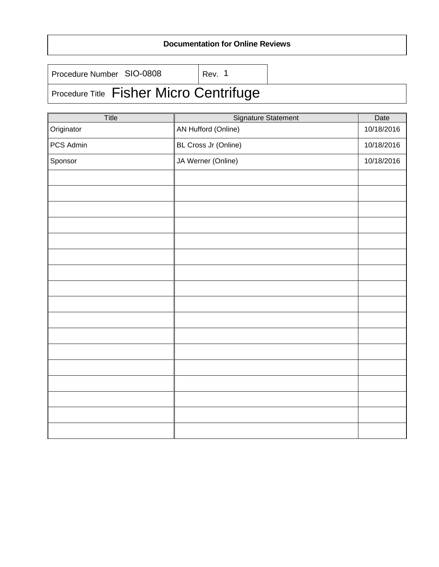### **Documentation for Online Reviews**

|                           | <b>Procedure Title Fishar Micro Cantr</b> |        |  |
|---------------------------|-------------------------------------------|--------|--|
| Procedure Number SIO-0808 |                                           | Rev. 1 |  |

# Procedure Title Fisher Micro Centrifuge

| Title      | <b>Signature Statement</b> | Date       |
|------------|----------------------------|------------|
| Originator | AN Hufford (Online)        | 10/18/2016 |
| PCS Admin  | BL Cross Jr (Online)       | 10/18/2016 |
| Sponsor    | JA Werner (Online)         | 10/18/2016 |
|            |                            |            |
|            |                            |            |
|            |                            |            |
|            |                            |            |
|            |                            |            |
|            |                            |            |
|            |                            |            |
|            |                            |            |
|            |                            |            |
|            |                            |            |
|            |                            |            |
|            |                            |            |
|            |                            |            |
|            |                            |            |
|            |                            |            |
|            |                            |            |
|            |                            |            |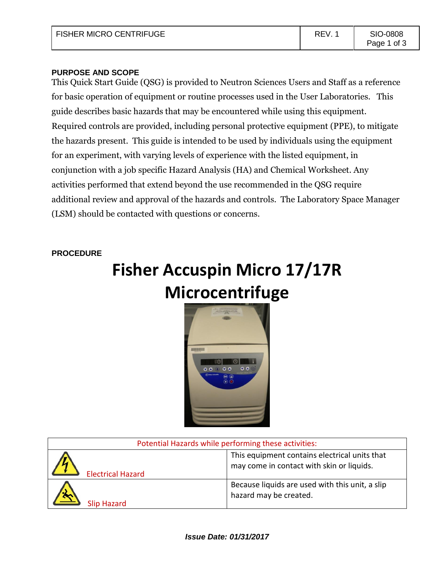#### **PURPOSE AND SCOPE**

This Quick Start Guide (QSG) is provided to Neutron Sciences Users and Staff as a reference for basic operation of equipment or routine processes used in the User Laboratories. This guide describes basic hazards that may be encountered while using this equipment. Required controls are provided, including personal protective equipment (PPE), to mitigate the hazards present. This guide is intended to be used by individuals using the equipment for an experiment, with varying levels of experience with the listed equipment, in conjunction with a job specific Hazard Analysis (HA) and Chemical Worksheet. Any activities performed that extend beyond the use recommended in the QSG require additional review and approval of the hazards and controls. The Laboratory Space Manager (LSM) should be contacted with questions or concerns.

#### **PROCEDURE**

# **Fisher Accuspin Micro 17/17R Microcentrifuge**



| Potential Hazards while performing these activities: |                                                                                            |
|------------------------------------------------------|--------------------------------------------------------------------------------------------|
| <b>Electrical Hazard</b>                             | This equipment contains electrical units that<br>may come in contact with skin or liquids. |
| <b>Slip Hazard</b>                                   | Because liquids are used with this unit, a slip<br>hazard may be created.                  |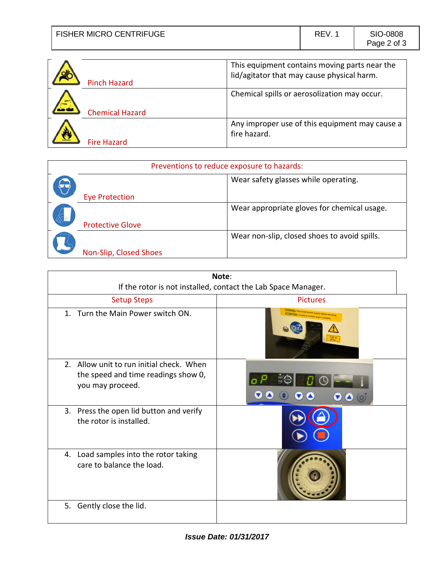| <b>FISHER MICRO CENTRIFUGE</b> | REV. | SIO-0808    |
|--------------------------------|------|-------------|
|                                |      | Page 2 of 3 |

| <b>Pinch Hazard</b>    | This equipment contains moving parts near the<br>lid/agitator that may cause physical harm. |
|------------------------|---------------------------------------------------------------------------------------------|
| <b>Chemical Hazard</b> | Chemical spills or aerosolization may occur.                                                |
| Fire Hazard            | Any improper use of this equipment may cause a<br>fire hazard.                              |

| Preventions to reduce exposure to hazards: |                                              |
|--------------------------------------------|----------------------------------------------|
|                                            | Wear safety glasses while operating.         |
| <b>Eye Protection</b>                      |                                              |
| <b>Protective Glove</b>                    | Wear appropriate gloves for chemical usage.  |
| Non-Slip, Closed Shoes                     | Wear non-slip, closed shoes to avoid spills. |

|                                                                                                     | Note:                                                         |
|-----------------------------------------------------------------------------------------------------|---------------------------------------------------------------|
|                                                                                                     | If the rotor is not installed, contact the Lab Space Manager. |
| <b>Setup Steps</b>                                                                                  | <b>Pictures</b>                                               |
| Turn the Main Power switch ON.<br>1.                                                                |                                                               |
| 2. Allow unit to run initial check. When<br>the speed and time readings show 0,<br>you may proceed. | $\bullet$ $\bullet$                                           |
| 3. Press the open lid button and verify<br>the rotor is installed.                                  |                                                               |
| Load samples into the rotor taking<br>4.<br>care to balance the load.                               |                                                               |
| 5. Gently close the lid.                                                                            |                                                               |